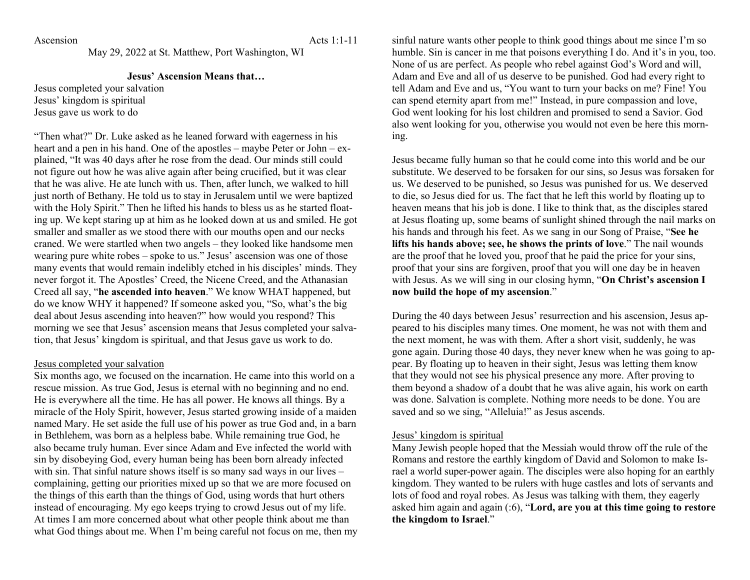Ascension Acts 1:1-11

May 29, 2022 at St. Matthew, Port Washington, WI

## **Jesus' Ascension Means that…**

Jesus completed your salvation Jesus' kingdom is spiritual Jesus gave us work to do

"Then what?" Dr. Luke asked as he leaned forward with eagerness in his heart and a pen in his hand. One of the apostles – maybe Peter or John – explained, "It was 40 days after he rose from the dead. Our minds still could not figure out how he was alive again after being crucified, but it was clear that he was alive. He ate lunch with us. Then, after lunch, we walked to hill just north of Bethany. He told us to stay in Jerusalem until we were baptized with the Holy Spirit." Then he lifted his hands to bless us as he started floating up. We kept staring up at him as he looked down at us and smiled. He got smaller and smaller as we stood there with our mouths open and our necks craned. We were startled when two angels – they looked like handsome men wearing pure white robes – spoke to us." Jesus' ascension was one of those many events that would remain indelibly etched in his disciples' minds. They never forgot it. The Apostles' Creed, the Nicene Creed, and the Athanasian Creed all say, "**he ascended into heaven**." We know WHAT happened, but do we know WHY it happened? If someone asked you, "So, what's the big deal about Jesus ascending into heaven?" how would you respond? This morning we see that Jesus' ascension means that Jesus completed your salvation, that Jesus' kingdom is spiritual, and that Jesus gave us work to do.

## Jesus completed your salvation

Six months ago, we focused on the incarnation. He came into this world on a rescue mission. As true God, Jesus is eternal with no beginning and no end. He is everywhere all the time. He has all power. He knows all things. By a miracle of the Holy Spirit, however, Jesus started growing inside of a maiden named Mary. He set aside the full use of his power as true God and, in a barn in Bethlehem, was born as a helpless babe. While remaining true God, he also became truly human. Ever since Adam and Eve infected the world with sin by disobeying God, every human being has been born already infected with sin. That sinful nature shows itself is so many sad ways in our lives – complaining, getting our priorities mixed up so that we are more focused on the things of this earth than the things of God, using words that hurt others instead of encouraging. My ego keeps trying to crowd Jesus out of my life. At times I am more concerned about what other people think about me than what God things about me. When I'm being careful not focus on me, then my

sinful nature wants other people to think good things about me since I'm so humble. Sin is cancer in me that poisons everything I do. And it's in you, too. None of us are perfect. As people who rebel against God's Word and will, Adam and Eve and all of us deserve to be punished. God had every right to tell Adam and Eve and us, "You want to turn your backs on me? Fine! You can spend eternity apart from me!" Instead, in pure compassion and love, God went looking for his lost children and promised to send a Savior. God also went looking for you, otherwise you would not even be here this morning.

Jesus became fully human so that he could come into this world and be our substitute. We deserved to be forsaken for our sins, so Jesus was forsaken for us. We deserved to be punished, so Jesus was punished for us. We deserved to die, so Jesus died for us. The fact that he left this world by floating up to heaven means that his job is done. I like to think that, as the disciples stared at Jesus floating up, some beams of sunlight shined through the nail marks on his hands and through his feet. As we sang in our Song of Praise, "**See he lifts his hands above; see, he shows the prints of love**." The nail wounds are the proof that he loved you, proof that he paid the price for your sins, proof that your sins are forgiven, proof that you will one day be in heaven with Jesus. As we will sing in our closing hymn, "**On Christ's ascension I now build the hope of my ascension**."

During the 40 days between Jesus' resurrection and his ascension, Jesus appeared to his disciples many times. One moment, he was not with them and the next moment, he was with them. After a short visit, suddenly, he was gone again. During those 40 days, they never knew when he was going to appear. By floating up to heaven in their sight, Jesus was letting them know that they would not see his physical presence any more. After proving to them beyond a shadow of a doubt that he was alive again, his work on earth was done. Salvation is complete. Nothing more needs to be done. You are saved and so we sing, "Alleluia!" as Jesus ascends.

## Jesus' kingdom is spiritual

Many Jewish people hoped that the Messiah would throw off the rule of the Romans and restore the earthly kingdom of David and Solomon to make Israel a world super-power again. The disciples were also hoping for an earthly kingdom. They wanted to be rulers with huge castles and lots of servants and lots of food and royal robes. As Jesus was talking with them, they eagerly asked him again and again (:6), "**Lord, are you at this time going to restore the kingdom to Israel**."